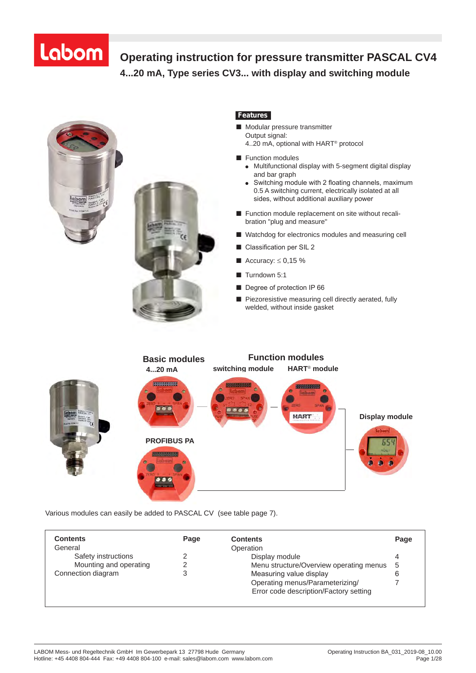#### **Operating instruction for pressure transmitter PASCAL CV4 4...20 mA, Type series CV3... with display and switching module Operating Instructions for pressure transmitter PASCAL CV, 4...20 mA, Type Series CV 3 . . . with display and switching module**



## *Features*

- Modular pressure transmitter Output signal: 4..20 mA, optional with HART® protocol
	-
- Function modules
	- Multifunctional display with 5-segment digital display and bar graph
	- ●Switching module with 2 floating channels, maximum 0.5 A switching current, electrically isolated at all sides, without additional auxiliary power
- Function module replacement on site without recalibration "plug and measure"
- Watchdog for electronics modules and measuring cell
- Classification per SIL 2
- Accuracy:  $\leq 0.15$  %
- Turndown 5:1
- Degree of protection IP 66
- Piezoresistive measuring cell directly aerated, fully welded, without inside gasket



Various modules can easily be added to PASCAL CV (see table page 7).

| <b>Contents</b><br>General | Page | <b>Contents</b><br>Operation                                              | Page |
|----------------------------|------|---------------------------------------------------------------------------|------|
| Safety instructions        |      | Display module                                                            | 4    |
| Mounting and operating     | っ    | Menu structure/Overview operating menus                                   | -5   |
| Connection diagram         |      | Measuring value display                                                   | 6    |
|                            |      | Operating menus/Parameterizing/<br>Error code description/Factory setting |      |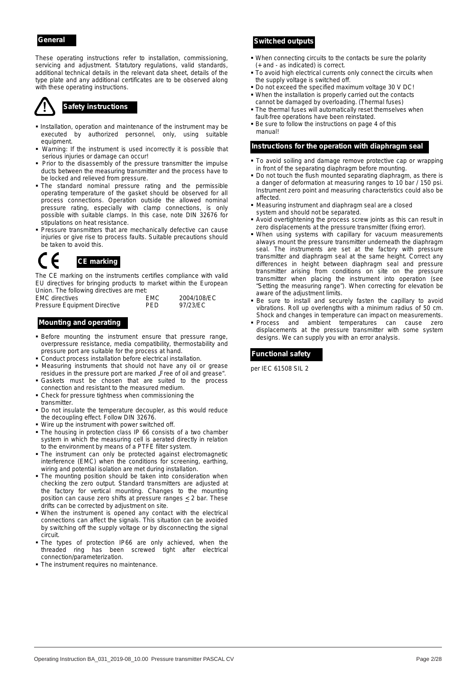These operating instructions refer to installation, commissioning, servicing and adjustment. Statutory regulations, valid standards, additional technical details in the relevant data sheet, details of the type plate and any additional certificates are to be observed along with these operating instructions.

- **Installation, operation and maintenance of the instrument may be** executed by authorized personnel, only, using suitable equipment.
- Warning: If the instrument is used incorrectly it is possible that serious injuries or damage can occur!
- Prior to the disassembly of the pressure transmitter the impulse ducts between the measuring transmitter and the process have to be locked and relieved from pressure.
- The standard nominal pressure rating and the permissible operating temperature of the gasket should be observed for all process connections. Operation outside the allowed nominal pressure rating, especially with clamp connections, is only possible with suitable clamps. In this case, note DIN 32676 for stipulations on heat resistance.
- **Pressure transmitters that are mechanically defective can cause** injuries or give rise to process faults. Suitable precautions should be taken to avoid this.

## $\epsilon$ *CE marking*

The CE marking on the instruments certifies compliance with valid EU directives for bringing products to market within the European Union. The following directives are met:

| <b>EMC</b> directives        | <b>EMC</b> | 2004/108/EC |
|------------------------------|------------|-------------|
| Pressure Equipment Directive | <b>PFD</b> | 97/23/EC    |

- **Before mounting the instrument ensure that pressure range,** overpressure resistance, media compatibility, thermostability and pressure port are suitable for the process at hand.
- Conduct process installation before electrical installation.
- Measuring instruments that should not have any oil or grease residues in the pressure port are marked "Free of oil and grease".
- Gaskets must be chosen that are suited to the process connection and resistant to the measured medium.
- Check for pressure tightness when commissioning the transmitter.
- Do not insulate the temperature decoupler, as this would reduce the decoupling effect. Follow DIN 32676.
- Wire up the instrument with power switched off.
- The housing in protection class IP 66 consists of a two chamber system in which the measuring cell is aerated directly in relation to the environment by means of a PTFE filter system.
- The instrument can only be protected against electromagnetic interference (EMC) when the conditions for screening, earthing, wiring and potential isolation are met during installation.
- The mounting position should be taken into consideration when checking the zero output. Standard transmitters are adjusted at the factory for vertical mounting. Changes to the mounting position can cause zero shifts at pressure ranges < 2 bar. These drifts can be corrected by adjustment on site.
- When the instrument is opened any contact with the electrical connections can affect the signals. This situation can be avoided by switching off the supply voltage or by disconnecting the signal circuit.
- The types of protection IP66 are only achieved, when the threaded ring has been screwed tight after electrical connection/parameterization.
- The instrument requires no maintenance.

## *General Switched outputs*

- When connecting circuits to the contacts be sure the polarity (+ and - as indicated) is correct.
- $\overline{\phantom{a}}$  To avoid high electrical currents only connect the circuits when the supply voltage is switched off.
- Do not exceed the specified maximum voltage 30 V DC! When the installation is properly carried out the contacts
- cannot be damaged by overloading. (Thermal fuses) Safety instructions **Safety** instructions **Safety** instructions **Safety** instructions **Safety** instructions **SAFET** fault-free operations have been reinstated.
	- **Be sure to follow the instructions on page 4 of this** manual!

#### *Instructions for the operation with diaphragm seal*

- To avoid soiling and damage remove protective cap or wrapping in front of the separating diaphragm before mounting.
- Do not touch the flush mounted separating diaphragm, as there is a danger of deformation at measuring ranges to 10 bar / 150 psi. Instrument zero point and measuring characteristics could also be affected.
- Measuring instrument and diaphragm seal are a closed system and should not be separated.
- Avoid overtightening the process screw joints as this can result in zero displacements at the pressure transmitter (fixing error).
- When using systems with capillary for vacuum measurements always mount the pressure transmitter underneath the diaphragm seal. The instruments are set at the factory with pressure transmitter and diaphragm seal at the same height. Correct any differences in height between diaphragm seal and pressure transmitter arising from conditions on site on the pressure transmitter when placing the instrument into operation (see "Setting the measuring range"). When correcting for elevation be aware of the adjustment limits.
- Be sure to install and securely fasten the capillary to avoid vibrations. Roll up overlengths with a minimum radius of 50 cm. Shock and changes in temperature can impact on measurements.
- **Mounting and operating and service and ambient temperatures can cause zero and ambient temperatures can cause zero** displacements at the pressure transmitter with some system designs. We can supply you with an error analysis.

## *Functional safety*

per IEC 61508 SIL 2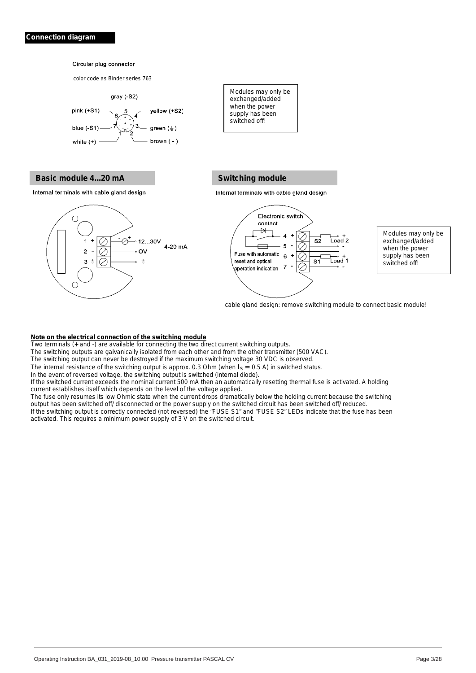**Hysteresis functions** 

#### **Bircular plug connector**

color code as Binder series 763



# **Basic module 4...20 mA Note of the Switching Switching module**

Internal terminals with cable gland design



### **Switching module**

exchanged/added when the power

supply has been switched off!

when the power of the power

Two terminals (+ and -) are available for connecting the two direct current switching the two direct current switching outputs. The two direct current switching outputs. The two direct current switching outputs. The connec The switching outputs are galvanical limited from each other and from the other and from the other transmitter



Modules may only be  $\Box$ 

Modules may only be when the power switched off!

cable gland design: remove switching module to connect basic module!

## **Note on the electrical connection of the switching module**

Two terminals (+ and -) are available for connecting the two direct current switching outputs.

The switching outputs are galvanically isolated from each other and from the other transmitter (500 VAC).

The switching output can never be destroyed if the maximum switching voltage 30 VDC is observed.

The internal resistance of the switching output is approx. 0.3 Ohm (when  $I_S = 0.5$  A) in switched status.

In the event of reversed voltage, the switching output is switched (internal diode).  $\alpha$  iternal diode). Iterative application on the voltage application of the voltage application of the voltage application of the voltage application of the voltage application of the voltage application of the voltage a

If the switched current exceeds the nominal current 500 mA then an automatically resetting thermal fuse is activated. A holding current establishes itself which depends on the level of the voltage applied. then an automatically resetting thermal fuse is activated. A holding  $\alpha$  applied. Switched or the power supplied or the power supplied circuit has been switched or the switched official reduced.

The fuse only resumes its low Ohmic state when the current drops dramatically below the holding current because the switching output has been switched off/ disconnected or the power supply on the switched circuit has been switched off/ reduced. drops dramatically below the holding current because the switching the switched circuit has been switched off/ reduced.

If the switching output is correctly connected (not reversed) the "FUSE S1" and "FUSE S2" LEDs indicate that the fuse has been activated. This requires a minimum power supply of 3 V on the switched circuit.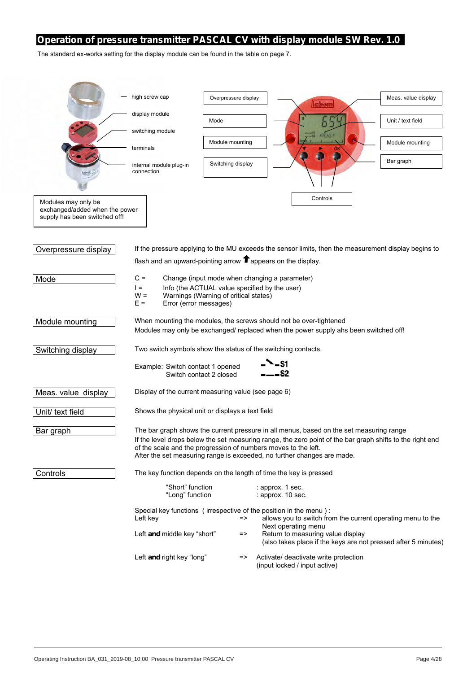## *Operation of pressure transmitter PASCAL CV with display module SW Rev. 1.0*

The standard ex-works setting for the display module can be found in the table on page 7.

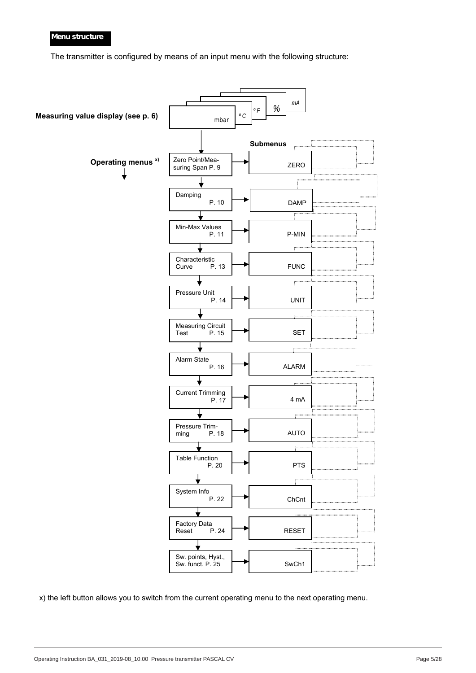## *Menu structure*

The transmitter is configured by means of an input menu with the following structure:



x) the left button allows you to switch from the current operating menu to the next operating menu.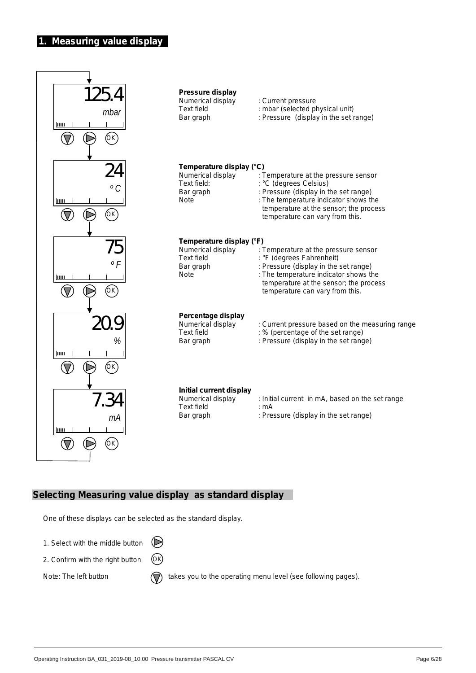## **1. Measuring value display**



## **Selecting Measuring value display as standard display**

One of these displays can be selected as the standard display.

1. Select with the middle button

2. Confirm with the right button OK

Note: The left button  $\overline{(\cdot)}$  takes you to the operating menu level (see following pages).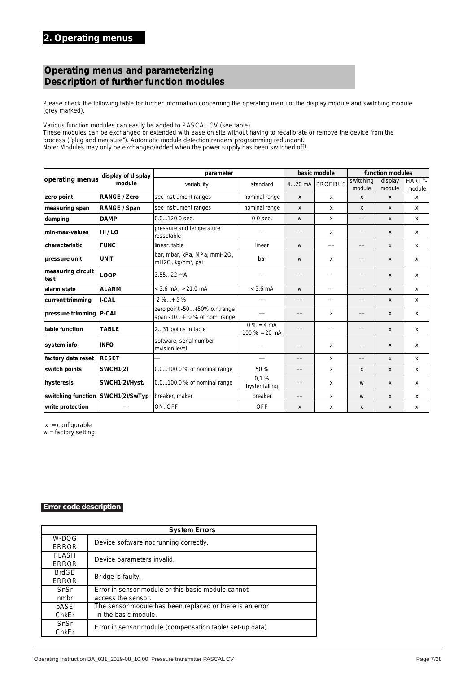# *Operating menus and parameterizing Description of further function modules*

Please check the following table for further information concerning the operating menu of the display module and switching module (grey marked).

Various function modules can easily be added to PASCAL CV (see table).

These modules can be exchanged or extended with ease on site without having to recalibrate or remove the device from the process ("plug and measure"). Automatic module detection renders programming redundant. Note: Modules may only be exchanged/added when the power supply has been switched off!

|                           | display of display  | parameter                                                     |                                 |                           | basic module                     |                                  | function modules  |                              |  |
|---------------------------|---------------------|---------------------------------------------------------------|---------------------------------|---------------------------|----------------------------------|----------------------------------|-------------------|------------------------------|--|
| operating menus           | module              | variability                                                   | standard                        |                           | 420 mA   PROFIBUS                | switching<br>module              | display<br>module | $HART^{\circledR}$<br>module |  |
| zero point                | <b>RANGE / Zero</b> | see instrument ranges                                         | nominal range                   | X                         | $\mathsf{x}$                     | $\mathsf{x}$                     | $\mathsf{x}$      | x                            |  |
| measuring span            | RANGE / Span        | see instrument ranges                                         | nominal range                   | $\boldsymbol{\mathsf{x}}$ | x                                | $\boldsymbol{\mathsf{x}}$        | $\mathsf{x}$      | х                            |  |
| damping                   | <b>DAMP</b>         | 0.0120.0 sec.                                                 | $0.0$ sec.                      | W                         | X                                | $\overbrace{\qquad \qquad }^{}$  | $\mathsf{x}$      | x                            |  |
| min-max-values            | HI/LO               | pressure and temperature<br>ressetable                        |                                 |                           | x                                |                                  | $\mathsf{x}$      | x                            |  |
| characteristic            | <b>FUNC</b>         | linear, table                                                 | linear                          | W                         |                                  |                                  | $\mathsf{x}$      | x                            |  |
| pressure unit             | <b>UNIT</b>         | bar, mbar, kPa, MPa, mmH2O,<br>mH2O, kg/cm <sup>2</sup> , psi | bar                             | W                         | x                                |                                  | $\mathsf{x}$      | x                            |  |
| measuring circuit<br>test | LOOP                | $3.5522$ mA                                                   |                                 |                           |                                  |                                  | X                 | x                            |  |
| alarm state               | <b>ALARM</b>        | $<$ 3.6 mA, $>$ 21.0 mA                                       | $<$ 3.6 mA                      | W                         |                                  |                                  | $\mathsf{x}$      | x                            |  |
| current trimming          | <b>I-CAL</b>        | $-2 \%+5 \%$                                                  |                                 | $\qquad \qquad -$         | $\overbrace{\phantom{12322111}}$ | $\overbrace{\phantom{12322111}}$ | $\mathsf{x}$      | x                            |  |
| pressure trimming   P-CAL |                     | zero point -50+50% o.n.range<br>span -10+10 % of nom. range   |                                 | $\qquad \qquad -$         | x                                | $\overbrace{\hspace{15em}}$      | X                 | X                            |  |
| table function            | <b>TABLE</b>        | 231 points in table                                           | $0% = 4 mA$<br>$100 \% = 20 mA$ |                           | $\qquad \qquad$                  |                                  | $\mathsf{x}$      | x                            |  |
| system info               | <b>INFO</b>         | software, serial number<br>revision level                     |                                 |                           | x                                |                                  | $\mathsf{x}$      | x                            |  |
| factory data reset        | <b>RESET</b>        |                                                               |                                 |                           | x                                |                                  | $\mathsf{x}$      | x                            |  |
| switch points             | <b>SWCH1(2)</b>     | 0.0100.0 % of nominal range                                   | 50 %                            | $\qquad \qquad -$         | X                                | $\boldsymbol{\mathsf{x}}$        | $\mathsf{x}$      | x                            |  |
| hysteresis                | SWCH1(2)/Hyst.      | 0.0100.0 % of nominal range                                   | 0.1%<br>hyster.falling          |                           | x                                | W                                | $\mathsf{x}$      | x                            |  |
| switching function        | SWCH1(2)/SwTyp      | breaker, maker                                                | breaker                         |                           | x                                | W                                | $\mathsf{x}$      | x                            |  |
| write protection          |                     | ON, OFF                                                       | <b>OFF</b>                      | $\boldsymbol{\mathsf{x}}$ | x                                | X                                | X                 | x                            |  |

 $x =$  configurable

 $w =$  factory setting

#### *Error code description*

**Four-Digit Error Code Display** 

|                              | <b>System Errors</b>                                     |
|------------------------------|----------------------------------------------------------|
| W-DOG<br><b>ERROR</b>        | Device software not running correctly.                   |
| <b>FLASH</b><br><b>ERROR</b> | Device parameters invalid.                               |
| <b>BrdGE</b><br><b>ERROR</b> | Bridge is faulty.                                        |
| SnSr                         | Error in sensor module or this basic module cannot       |
| nmbr                         | access the sensor.                                       |
| bASE                         | The sensor module has been replaced or there is an error |
| ChkEr                        | in the basic module.                                     |
| SnSr<br>ChkEr                | Error in sensor module (compensation table/set-up data)  |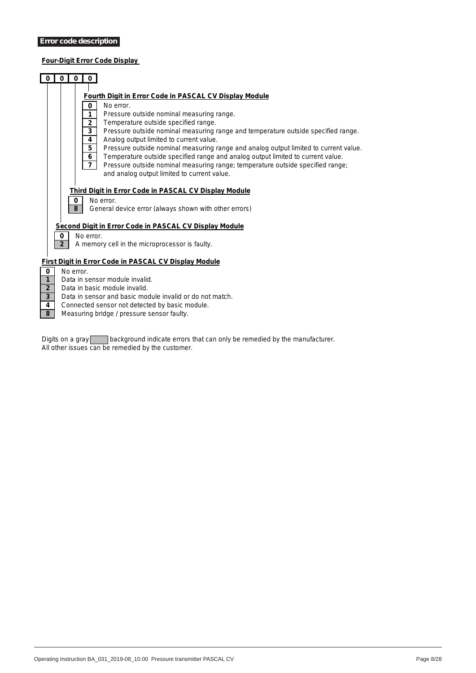## **Four-Digit Error Code Display**

| $\bf{0}$                                  |                | 0<br>$\bf{0}$                                               |                                                                                                                                                                                                                                                                                                                                                                                                                                                                                                                                                                                                                                                               |
|-------------------------------------------|----------------|-------------------------------------------------------------|---------------------------------------------------------------------------------------------------------------------------------------------------------------------------------------------------------------------------------------------------------------------------------------------------------------------------------------------------------------------------------------------------------------------------------------------------------------------------------------------------------------------------------------------------------------------------------------------------------------------------------------------------------------|
|                                           |                | 0<br>1<br>$\mathbf 2$<br>3<br>4<br>5<br>6<br>$\overline{7}$ | Fourth Digit in Error Code in PASCAL CV Display Module<br>No error.<br>Pressure outside nominal measuring range.<br>Temperature outside specified range.<br>Pressure outside nominal measuring range and temperature outside specified range.<br>Analog output limited to current value.<br>Pressure outside nominal measuring range and analog output limited to current value.<br>Temperature outside specified range and analog output limited to current value.<br>Pressure outside nominal measuring range; temperature outside specified range;<br>and analog output limited to current value.<br>Third Digit in Error Code in PASCAL CV Display Module |
|                                           |                | 0<br>8                                                      | No error.<br>General device error (always shown with other errors)                                                                                                                                                                                                                                                                                                                                                                                                                                                                                                                                                                                            |
|                                           | $\bf{0}$       | No error.                                                   | Second Digit in Error Code in PASCAL CV Display Module                                                                                                                                                                                                                                                                                                                                                                                                                                                                                                                                                                                                        |
|                                           | $\overline{2}$ |                                                             | A memory cell in the microprocessor is faulty.                                                                                                                                                                                                                                                                                                                                                                                                                                                                                                                                                                                                                |
|                                           |                |                                                             | <b>First Digit in Error Code in PASCAL CV Display Module</b>                                                                                                                                                                                                                                                                                                                                                                                                                                                                                                                                                                                                  |
| $\mathbf 0$                               | No error.      |                                                             |                                                                                                                                                                                                                                                                                                                                                                                                                                                                                                                                                                                                                                                               |
| $\mathbf{1}$                              |                |                                                             | Data in sensor module invalid.                                                                                                                                                                                                                                                                                                                                                                                                                                                                                                                                                                                                                                |
| $\overline{2}$<br>$\overline{\mathbf{3}}$ |                |                                                             | Data in basic module invalid.<br>Data in sensor and basic module invalid or do not match.                                                                                                                                                                                                                                                                                                                                                                                                                                                                                                                                                                     |
| 4<br>8                                    |                |                                                             | Connected sensor not detected by basic module.<br>Measuring bridge / pressure sensor faulty.                                                                                                                                                                                                                                                                                                                                                                                                                                                                                                                                                                  |

*Digits on a gray background indicate errors that can only be remedied by the manufacturer. All other issues can be remedied by the customer.*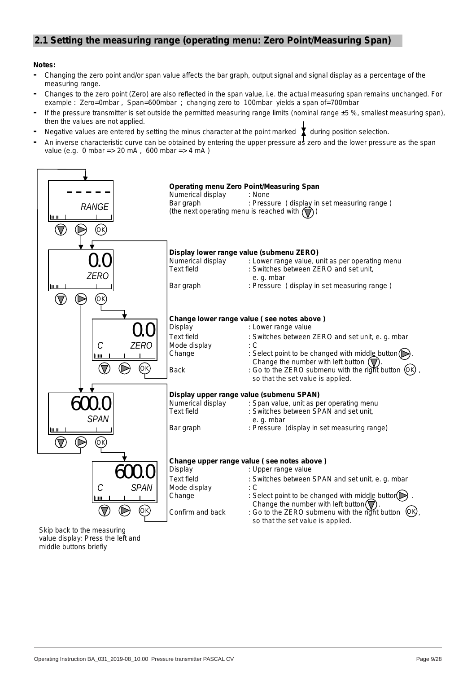# **2.1 Setting the measuring range (operating menu: Zero Point/Measuring Span)**

## **Notes:**

- **-** Changing the zero point and/or span value affects the bar graph, output signal and signal display as a percentage of the measuring range.
- **-** Changes to the zero point (Zero) are also reflected in the span value, i.e. the actual measuring span remains unchanged. For example : Zero=0mbar , Span=600mbar ; changing zero to 100mbar yields a span of=700mbar
- **-** If the pressure transmitter is set outside the permitted measuring range limits (nominal range ±5 %, smallest measuring span), then the values are not applied.
- $\lceil \cdot \rceil$  Negative values are entered by setting the minus character at the point marked  $\bf{X}$  during position selection.
- **-** An inverse characteristic curve can be obtained by entering the upper pressure as zero and the lower pressure as the span value (e.g. 0 mbar => 20 mA , 600 mbar => 4 mA )



middle buttons briefly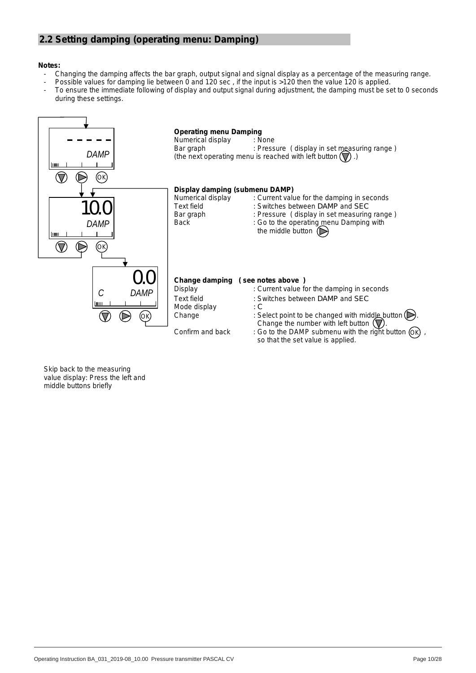# **2.2 Setting damping (operating menu: Damping)**

## **Notes:**

- Changing the damping affects the bar graph, output signal and signal display as a percentage of the measuring range.
- Possible values for damping lie between 0 and 120 sec, if the input is >120 then the value 120 is applied.
- To ensure the immediate following of display and output signal during adjustment, the damping must be set to 0 seconds during these settings.

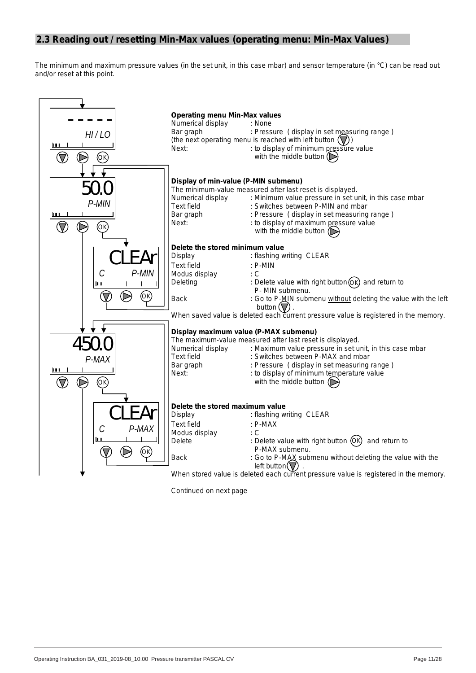# **2.3 Reading out / resetting Min-Max values (operating menu: Min-Max Values)**

The minimum and maximum pressure values (in the set unit, in this case *mbar*) and sensor temperature (in °*C*) can be read out and/or reset at this point.



*Continued on next page*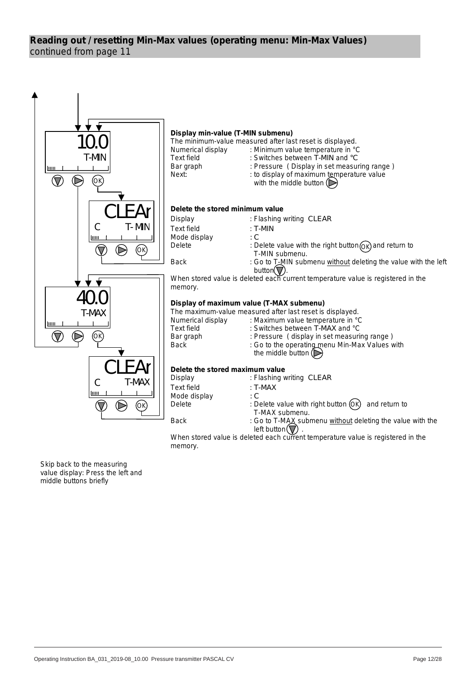# continued from page 11 **Reading out / resetting Min-Max values (operating menu: Min-Max Values)**



When stored value is deleted each current temperature value is registered in the memory.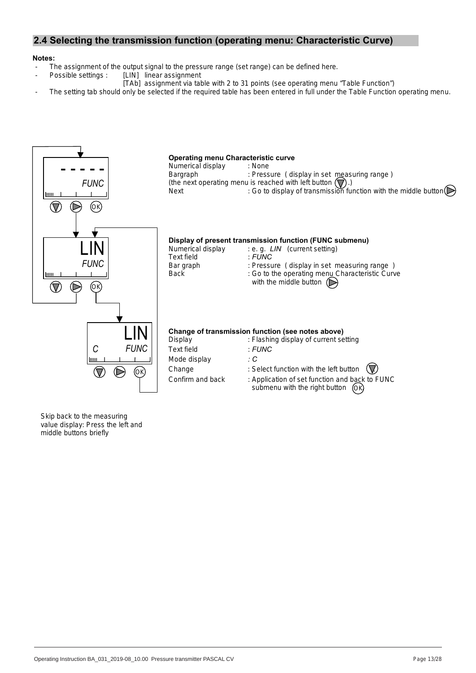# **2.4 Selecting the transmission function (operating menu: Characteristic Curve)**

### **Notes:**

- The assignment of the output signal to the pressure range (set range) can be defined here.<br>Possible settings : [LIN] linear assignment
	- [LIN] linear assignment
		- [TAb] assignment via table with 2 to 31 points (see operating menu "Table Function")
- The setting tab should only be selected if the required table has been entered in full under the Table Function operating menu.

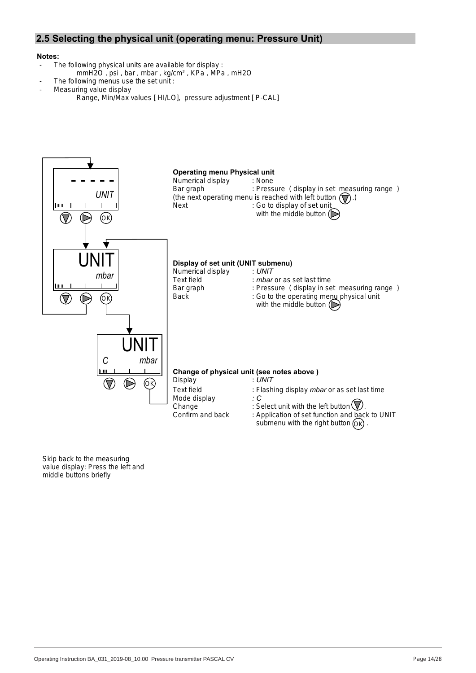# **2.5 Selecting the physical unit (operating menu: Pressure Unit)**

### **Notes:**

- The following physical units are available for display :
	- mmH2O , psi , bar , mbar , kg/cm² , KPa , MPa , mH2O
	- The following menus use the set unit :
- Measuring value display
	- Range, Min/Max values [ HI/LO], pressure adjustment [ P-CAL]

![](_page_13_Figure_7.jpeg)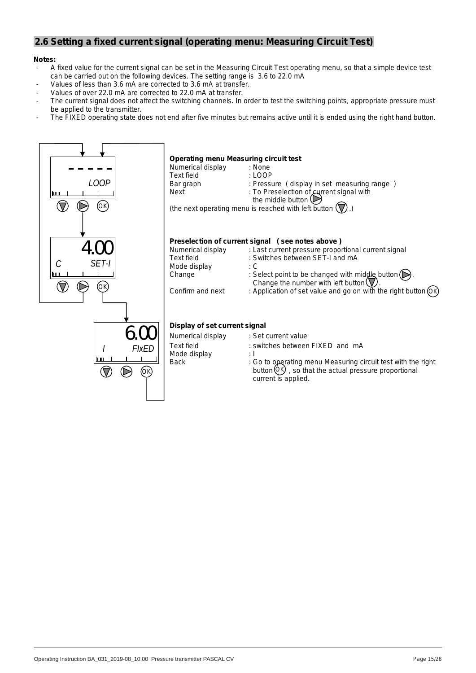## **2.6 Setting a fixed current signal (operating menu: Measuring Circuit Test)**

### **Notes:**

- A fixed value for the current signal can be set in the Measuring Circuit Test operating menu, so that a simple device test can be carried out on the following devices. The setting range is 3.6 to 22.0 mA
- Values of less than 3.6 mA are corrected to 3.6 mA at transfer.
- Values of over 22.0 mA are corrected to 22.0 mA at transfer.
- The current signal does not affect the switching channels. In order to test the switching points, appropriate pressure must be applied to the transmitter.
- The FIXED operating state does not end after five minutes but remains active until it is ended using the right hand button.

![](_page_14_Figure_7.jpeg)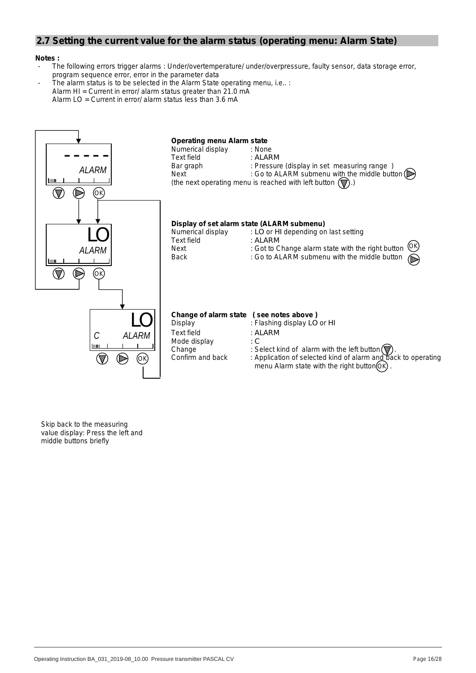# **2.7 Setting the current value for the alarm status (operating menu: Alarm State)**

#### **Notes :**

- The following errors trigger alarms : Under/overtemperature/ under/overpressure, faulty sensor, data storage error, program sequence error, error in the parameter data
- The alarm status is to be selected in the Alarm State operating menu, i.e.. : Alarm HI = Current in error/ alarm status greater than 21.0 mA Alarm LO = Current in error/ alarm status less than 3.6 mA

![](_page_15_Figure_4.jpeg)

Skip back to the measuring value display: Press the left and middle buttons briefly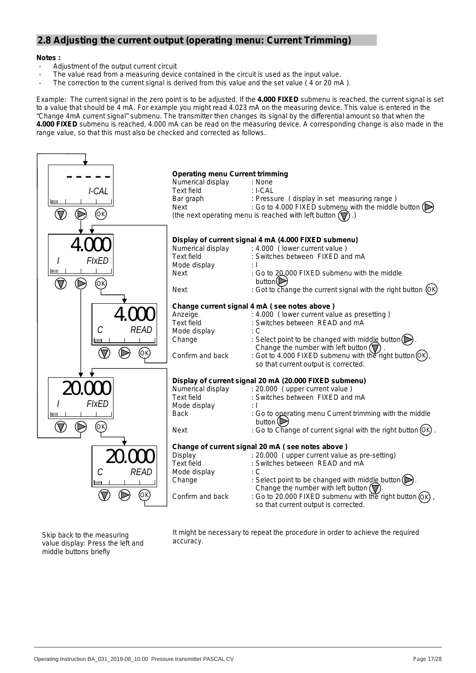# **2.8 Adjusting the current output (operating menu: Current Trimming)**

### **Notes :**

- Adjustment of the output current circuit
- The value read from a measuring device contained in the circuit is used as the input value.
- The correction to the current signal is derived from this value and the set value (4 or 20 mA).

Example: The current signal in the zero point is to be adjusted. If the **4.000 FIXED** submenu is reached, the current signal is set to a value that should be 4 mA. For example you might read 4.023 mA on the measuring device. This value is entered in the "Change 4mA current signal" submenu. The transmitter then changes its signal by the differential amount so that when the **4.000 FIXED** submenu is reached, 4.000 mA can be read on the measuring device. A corresponding change is also made in the range value, so that this must also be checked and corrected as follows.

![](_page_16_Figure_6.jpeg)

Skip back to the measuring value display: Press the left and middle buttons briefly

It might be necessary to repeat the procedure in order to achieve the required accuracy.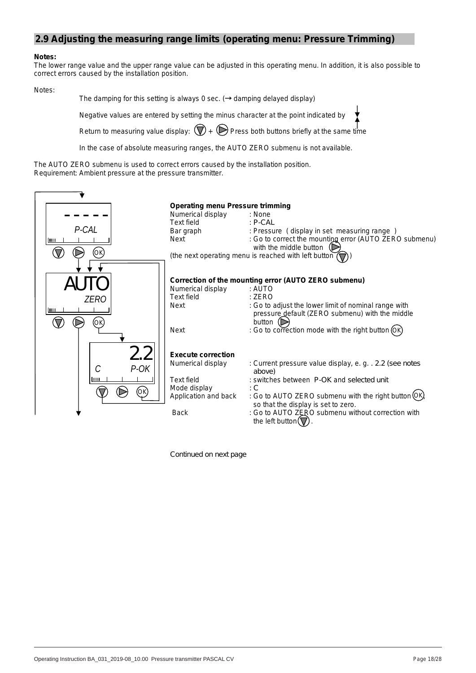## **2.9 Adjusting the measuring range limits (operating menu: Pressure Trimming)**

#### **Notes:**

The lower range value and the upper range value can be adjusted in this operating menu. In addition, it is also possible to correct errors caused by the installation position.

Notes:

The damping for this setting is always 0 sec. ( $\rightarrow$  damping delayed display)

Negative values are entered by setting the minus character at the point indicated by

Return to measuring value display:  $(\nabla)$  +  $(\nabla)$  Press both buttons briefly at the same time

In the case of absolute measuring ranges, the AUTO ZERO submenu is not available.

The AUTO ZERO submenu is used to correct errors caused by the installation position. Requirement: Ambient pressure at the pressure transmitter.

| P-CAL<br>luu<br>(Ok       | <b>Operating menu Pressure trimming</b><br>Numerical display<br>Text field<br>Bar graph<br>Next                     | : None<br>: P-CAI<br>: Pressure (display in set measuring range)<br>: Go to correct the mountipg error (AUTO ZERO submenu)<br>with the middle button $\Box$<br>(the next operating menu is reached with left button)                                                                                   |
|---------------------------|---------------------------------------------------------------------------------------------------------------------|--------------------------------------------------------------------------------------------------------------------------------------------------------------------------------------------------------------------------------------------------------------------------------------------------------|
| ZERO<br>шш<br>ΌΚ          | Numerical display<br>Text field<br>Next<br><b>Next</b>                                                              | Correction of the mounting error (AUTO ZERO submenu)<br>: AUTO<br>: ZERO<br>: Go to adjust the lower limit of nominal range with<br>pressure_default (ZERO submenu) with the middle<br>button $(D)$<br>: Go to correction mode with the right button (OK)                                              |
| 2.2<br>$P-OK$<br>C<br>lmu | <b>Execute correction</b><br>Numerical display<br>Text field<br>Mode display<br>Application and back<br><b>Back</b> | : Current pressure value display, e.g. . 2.2 (see notes<br>above)<br>: switches between P-OK and selected unit<br>÷С<br>: Go to AUTO ZERO submenu with the right button (OK<br>so that the display is set to zero.<br>: Go to AUTO ZERO submenu without correction with<br>the left button( $\nabla$ ) |

*Continued on next page*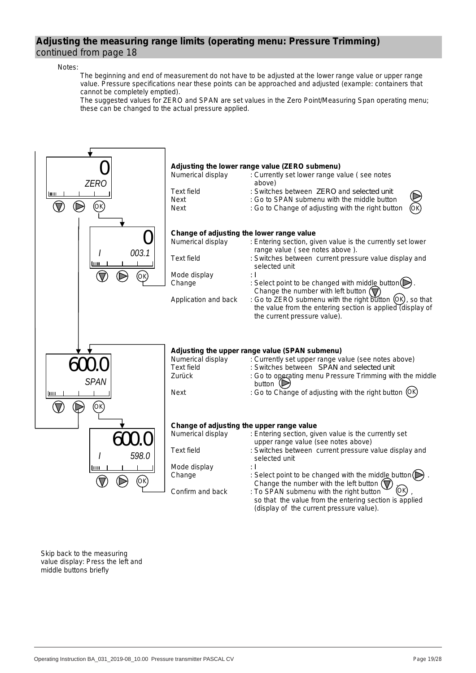## **Adjusting the measuring range limits (operating menu: Pressure Trimming)**  continued from page 18

#### Notes:

 The beginning and end of measurement do not have to be adjusted at the lower range value or upper range value. Pressure specifications near these points can be approached and adjusted (example: containers that cannot be completely emptied).

 The suggested values for ZERO and SPAN are set values in the Zero Point/Measuring Span operating menu; these can be changed to the actual pressure applied.

![](_page_18_Figure_4.jpeg)

Skip back to the measuring value display: Press the left and middle buttons briefly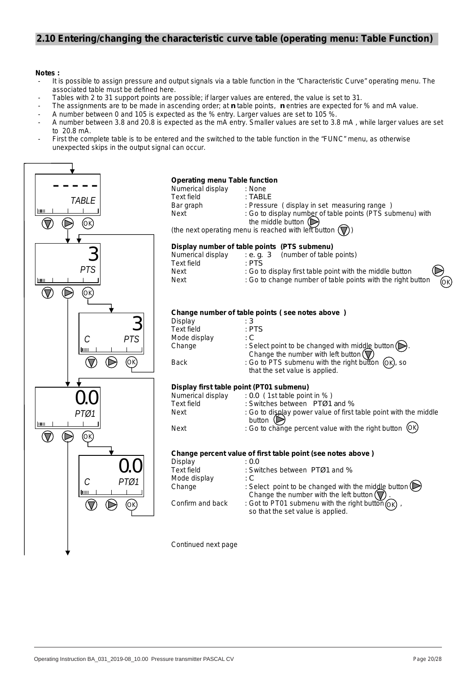# **2.10 Entering/changing the characteristic curve table (operating menu: Table Function)**

#### **Notes :**

- It is possible to assign pressure and output signals via a table function in the "Characteristic Curve" operating menu. The associated table must be defined here.
- Tables with 2 to 31 support points are possible; if larger values are entered, the value is set to 31.
- The assignments are to be made in ascending order; at *n* table points, *n* entries are expected for % and mA value.
- A number between 0 and 105 is expected as the % entry. Larger values are set to 105 %.
- A number between 3.8 and 20.8 is expected as the mA entry. Smaller values are set to 3.8 mA , while larger values are set to 20.8 mA.
- First the complete table is to be entered and the switched to the table function in the "FUNC" menu, as otherwise unexpected skips in the output signal can occur.

![](_page_19_Figure_8.jpeg)

### **Operating menu Table function**

| <b>Operating include rapid ranged</b> |                                                                   |
|---------------------------------------|-------------------------------------------------------------------|
| Numerical display                     | : None                                                            |
| Text field                            | : TABI F                                                          |
| Bar graph                             | : Pressure (display in set measuring range)                       |
| Next                                  | : Go to display number of table points (PTS submenu) with         |
|                                       | the middle button $(\triangleright)$                              |
|                                       | (the next operating menu is reached with left button $(\nabla)$ ) |

(the next operating menu is reached with left button  $(\bigvee)$ )

#### **Display number of table points (PTS submenu)**

| Numerical display | (number of table points)<br>: e. a. 3                               |
|-------------------|---------------------------------------------------------------------|
| Text field        | · PTS                                                               |
| Next              | $\odot$<br>: Go to display first table point with the middle button |
| Next              | ÕК)<br>: Go to change number of table points with the right button  |

#### **Change number of table points ( see notes above )**

| : 3                                                                                                                   |
|-----------------------------------------------------------------------------------------------------------------------|
| : PTS                                                                                                                 |
| : C                                                                                                                   |
| : Select point to be changed with middle button $(\triangleright)$ .<br>Change the number with left button $(\nabla)$ |
| : Go to PTS submenu with the right button (OK), so<br>that the set value is applied.                                  |
|                                                                                                                       |

#### **Display first table point (PT01 submenu)**

| Numerical display | $: 0.0$ (1st table point in %)                                   |
|-------------------|------------------------------------------------------------------|
| Text field        | : Switches between $PTQ1$ and %                                  |
| Next              | : Go to display power value of first table point with the middle |

button  $(\triangleright)$ Next : Go to change percent value with the right button (OK

## **Change percent value of first table point (see notes above )**

|                  | <u>UNANYO DONOVIN'I ANAO ON'NI ON NAMO DOMIN'IOUU NUMU AMUI VI</u>                                                            |
|------------------|-------------------------------------------------------------------------------------------------------------------------------|
| Display          | : 0.0                                                                                                                         |
| Text field       | : Switches between PTØ1 and %                                                                                                 |
| Mode display     | ÷С                                                                                                                            |
| Change           | : Select point to be changed with the middle button $(\triangleright)$<br>Change the number with the left button $(\nabla)$ . |
| Confirm and back | : Got to PT01 submenu with the right button $\widehat{OR}$ ,<br>so that the set value is applied.                             |

Continued next page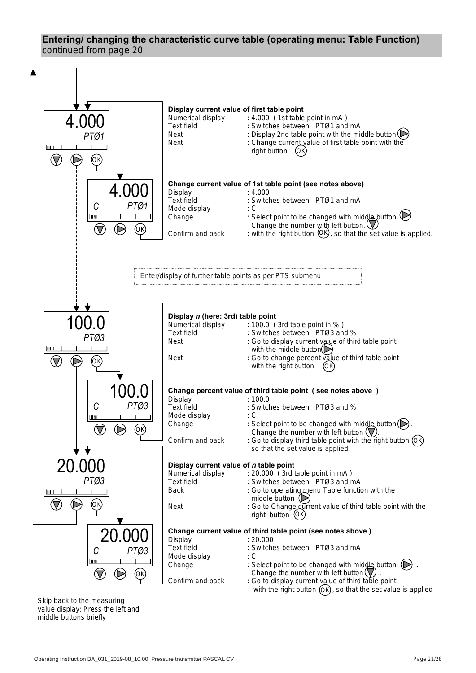# **Entering/ changing the characteristic curve table (operating menu: Table Function)** continued from page 20

![](_page_20_Figure_1.jpeg)

Skip back to the measuring value display: Press the left and middle buttons briefly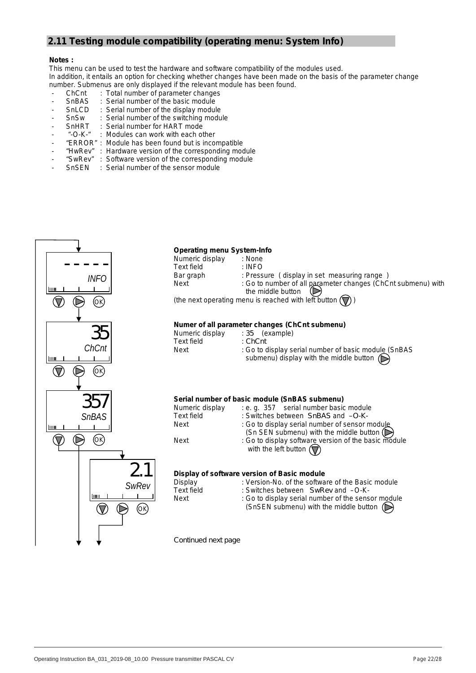# **2.11 Testing module compatibility (operating menu: System Info)**

#### **Notes :**

This menu can be used to test the hardware and software compatibility of the modules used. In addition, it entails an option for checking whether changes have been made on the basis of the parameter change number. Submenus are only displayed if the relevant module has been found.

- 
- ChCnt : Total number of parameter changes<br>SnBAS : Serial number of the basic module
- SnBAS : Serial number of the basic module<br>SnLCD : Serial number of the display modul - SnLCD : Serial number of the display module
- SnSw : Serial number of the switching module<br>- SnHRT : Serial number for HART mode
- : Serial number for HART mode
- 
- "-O-K-" : Modules can work with each other<br>"ERROR" : Module has been found but is inco Module has been found but is incompatible
- 
- "HwRev" : Hardware version of the corresponding module<br>"SwRev" : Software version of the corresponding module : Software version of the corresponding module
- SnSEN : Serial number of the sensor module

![](_page_21_Figure_13.jpeg)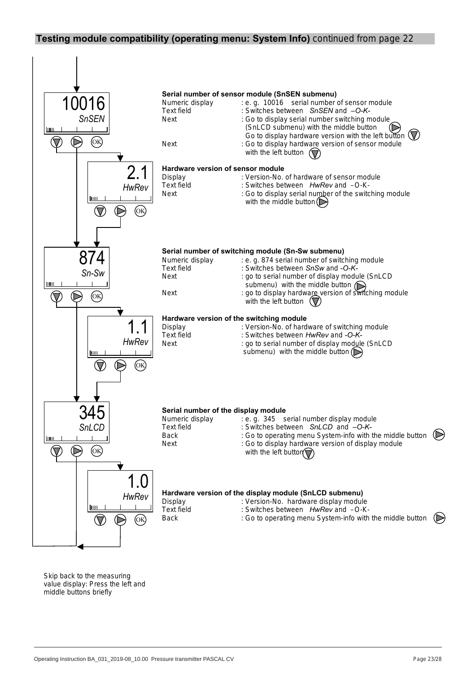## **Testing module compatibility (operating menu: System Info)** continued from page 22

![](_page_22_Figure_1.jpeg)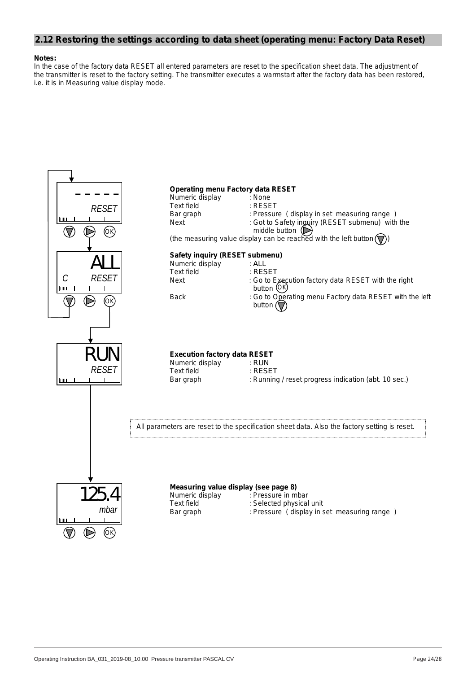## **2.12 Restoring the settings according to data sheet (operating menu: Factory Data Reset)**

#### **Notes:**

In the case of the factory data RESET all entered parameters are reset to the specification sheet data. The adjustment of the transmitter is reset to the factory setting. The transmitter executes a warmstart after the factory data has been restored, i.e. it is in Measuring value display mode.

![](_page_23_Figure_3.jpeg)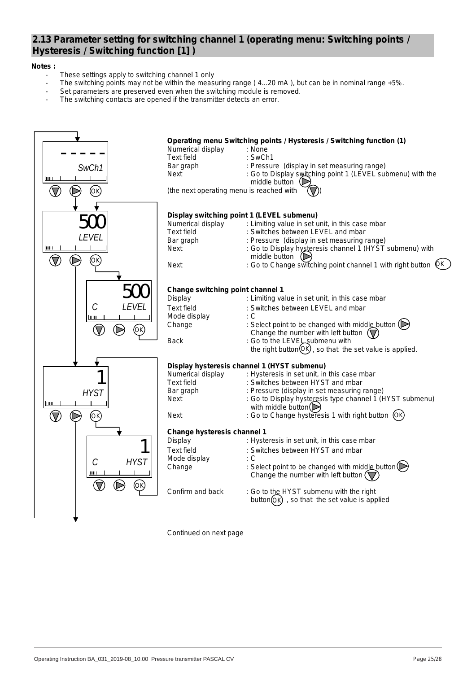# **2.13 Parameter setting for switching channel 1 (operating menu: Switching points / Hysteresis / Switching function [1] )**

## **Notes :**

- These settings apply to switching channel 1 only
- The switching points may not be within the measuring range (4...20 mA), but can be in nominal range +5%.
- Set parameters are preserved even when the switching module is removed.
- The switching contacts are opened if the transmitter detects an error.

![](_page_24_Figure_6.jpeg)

*Continued on next page*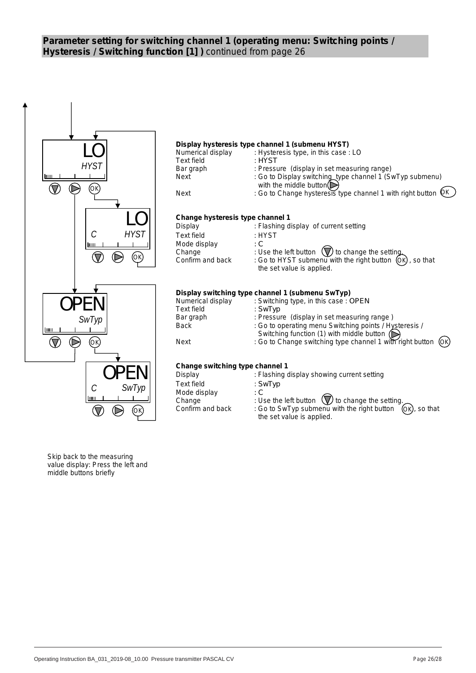# **Parameter setting for switching channel 1 (operating menu: Switching points / Hysteresis / Switching function [1] )** continued from page 26

![](_page_25_Figure_1.jpeg)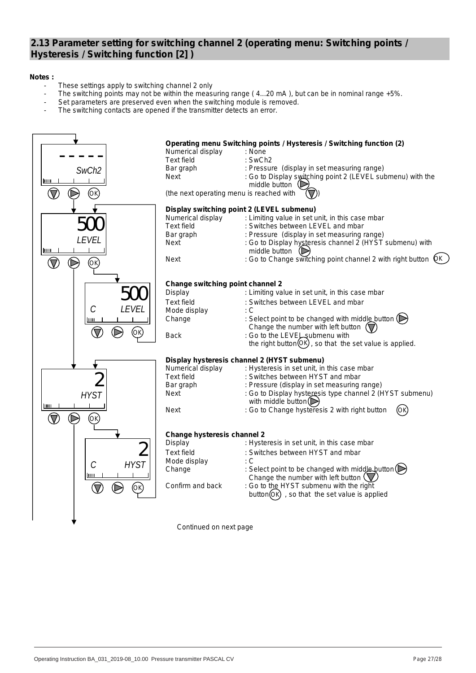## **2.13 Parameter setting for switching channel 2 (operating menu: Switching points / Hysteresis / Switching function [2] )**

## **Notes :**

- These settings apply to switching channel 2 only
- The switching points may not be within the measuring range (4...20 mA), but can be in nominal range +5%.
- Set parameters are preserved even when the switching module is removed.
- The switching contacts are opened if the transmitter detects an error.

![](_page_26_Figure_6.jpeg)

*Continued on next page*